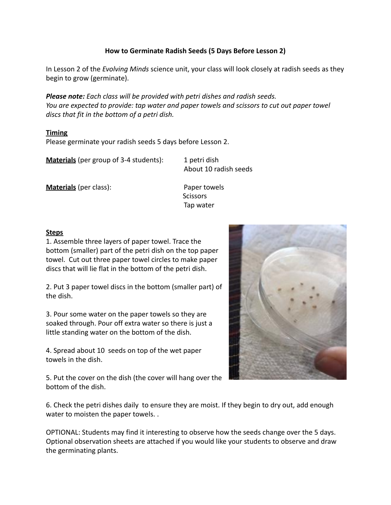## **How to Germinate Radish Seeds (5 Days Before Lesson 2)**

In Lesson 2 of the *Evolving Minds* science unit, your class will look closely at radish seeds as they begin to grow (germinate).

*Please note: Each class will be provided with petri dishes and radish seeds. You are expected to provide: tap water and paper towels and scissors to cut out paper towel discs that fit in the bottom of a petri dish.*

## **Timing**

Please germinate your radish seeds 5 days before Lesson 2.

**Materials** (per group of 3-4 students): 1 petri dish

About 10 radish seeds

**Materials** (per class): Paper towels

**Scissors** Tap water

## **Steps**

1. Assemble three layers of paper towel. Trace the bottom (smaller) part of the petri dish on the top paper towel. Cut out three paper towel circles to make paper discs that will lie flat in the bottom of the petri dish.

2. Put 3 paper towel discs in the bottom (smaller part) of the dish.

3. Pour some water on the paper towels so they are soaked through. Pour off extra water so there is just a little standing water on the bottom of the dish.

4. Spread about 10 seeds on top of the wet paper towels in the dish.

5. Put the cover on the dish (the cover will hang over the bottom of the dish.

6. Check the petri dishes daily to ensure they are moist. If they begin to dry out, add enough water to moisten the paper towels. .

OPTIONAL: Students may find it interesting to observe how the seeds change over the 5 days. Optional observation sheets are attached if you would like your students to observe and draw the germinating plants.